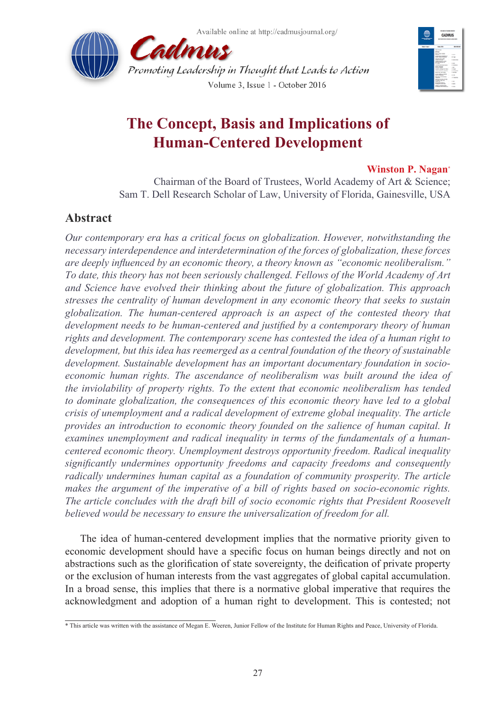



# **The Concept, Basis and Implications of Human-Centered Development**

### **Winston P. Nagan\***

Chairman of the Board of Trustees, World Academy of Art & Science; Sam T. Dell Research Scholar of Law, University of Florida, Gainesville, USA

# **Abstract**

*Our contemporary era has a critical focus on globalization. However, notwithstanding the necessary interdependence and interdetermination of the forces of globalization, these forces are deeply influenced by an economic theory, a theory known as "economic neoliberalism." To date, this theory has not been seriously challenged. Fellows of the World Academy of Art and Science have evolved their thinking about the future of globalization. This approach stresses the centrality of human development in any economic theory that seeks to sustain globalization. The human-centered approach is an aspect of the contested theory that development needs to be human-centered and justified by a contemporary theory of human rights and development. The contemporary scene has contested the idea of a human right to development, but this idea has reemerged as a central foundation of the theory of sustainable development. Sustainable development has an important documentary foundation in socioeconomic human rights. The ascendance of neoliberalism was built around the idea of the inviolability of property rights. To the extent that economic neoliberalism has tended to dominate globalization, the consequences of this economic theory have led to a global crisis of unemployment and a radical development of extreme global inequality. The article provides an introduction to economic theory founded on the salience of human capital. It examines unemployment and radical inequality in terms of the fundamentals of a humancentered economic theory. Unemployment destroys opportunity freedom. Radical inequality significantly undermines opportunity freedoms and capacity freedoms and consequently radically undermines human capital as a foundation of community prosperity. The article makes the argument of the imperative of a bill of rights based on socio-economic rights. The article concludes with the draft bill of socio economic rights that President Roosevelt believed would be necessary to ensure the universalization of freedom for all.* 

The idea of human-centered development implies that the normative priority given to economic development should have a specific focus on human beings directly and not on abstractions such as the glorification of state sovereignty, the deification of private property or the exclusion of human interests from the vast aggregates of global capital accumulation. In a broad sense, this implies that there is a normative global imperative that requires the acknowledgment and adoption of a human right to development. This is contested; not

<sup>\*</sup> This article was written with the assistance of Megan E. Weeren, Junior Fellow of the Institute for Human Rights and Peace, University of Florida.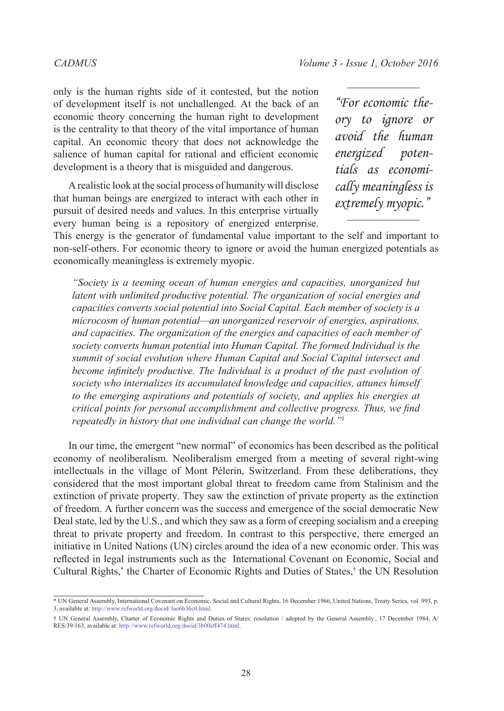only is the human rights side of it contested, but the notion of development itself is not unchallenged. At the back of an economic theory concerning the human right to development is the centrality to that theory of the vital importance of human capital. An economic theory that does not acknowledge the salience of human capital for rational and efficient economic development is a theory that is misguided and dangerous.

A realistic look at the social process of humanity will disclose that human beings are energized to interact with each other in pursuit of desired needs and values. In this enterprise virtually every human being is a repository of energized enterprise.

*"For economic theory to ignore or avoid the human energized potentials as economically meaningless is extremely myopic."*

This energy is the generator of fundamental value important to the self and important to non-self-others. For economic theory to ignore or avoid the human energized potentials as economically meaningless is extremely myopic.

*"Society is a teeming ocean of human energies and capacities, unorganized but latent with unlimited productive potential. The organization of social energies and capacities converts social potential into Social Capital. Each member of society is a microcosm of human potential—an unorganized reservoir of energies, aspirations, and capacities. The organization of the energies and capacities of each member of society converts human potential into Human Capital. The formed Individual is the summit of social evolution where Human Capital and Social Capital intersect and become infinitely productive. The Individual is a product of the past evolution of society who internalizes its accumulated knowledge and capacities, attunes himself to the emerging aspirations and potentials of society, and applies his energies at critical points for personal accomplishment and collective progress. Thus, we find repeatedly in history that one individual can change the world."*[1](#page-8-0)

In our time, the emergent "new normal" of economics has been described as the political economy of neoliberalism. Neoliberalism emerged from a meeting of several right-wing intellectuals in the village of Mont Pèlerin, Switzerland. From these deliberations, they considered that the most important global threat to freedom came from Stalinism and the extinction of private property. They saw the extinction of private property as the extinction of freedom. A further concern was the success and emergence of the social democratic New Deal state, led by the U.S., and which they saw as a form of creeping socialism and a creeping threat to private property and freedom. In contrast to this perspective, there emerged an initiative in United Nations (UN) circles around the idea of a new economic order. This was reflected in legal instruments such as the International Covenant on Economic, Social and Cultural Rights,\* the Charter of Economic Rights and Duties of States,† the UN Resolution

<sup>\*</sup> UN General Assembly, International Covenant on Economic, Social and Cultural Rights, 16 December 1966, United Nations, Treaty Series, vol. 993, p. 3, available at: <http://www.refworld.org/docid/3ae6b36c0.html>.

<sup>†</sup> UN General Assembly, Charter of Economic Rights and Duties of States: resolution / adopted by the General Assembly., 17 December 1984, A/ RES/39/163, available at:<http://www.refworld.org/docid/3b00eff474.html>.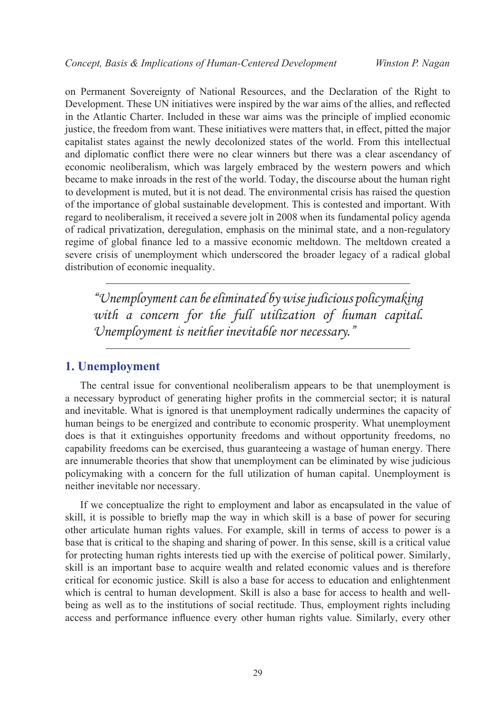on Permanent Sovereignty of National Resources, and the Declaration of the Right to Development. These UN initiatives were inspired by the war aims of the allies, and reflected in the Atlantic Charter. Included in these war aims was the principle of implied economic justice, the freedom from want. These initiatives were matters that, in effect, pitted the major capitalist states against the newly decolonized states of the world. From this intellectual and diplomatic conflict there were no clear winners but there was a clear ascendancy of economic neoliberalism, which was largely embraced by the western powers and which became to make inroads in the rest of the world. Today, the discourse about the human right to development is muted, but it is not dead. The environmental crisis has raised the question of the importance of global sustainable development. This is contested and important. With regard to neoliberalism, it received a severe jolt in 2008 when its fundamental policy agenda of radical privatization, deregulation, emphasis on the minimal state, and a non-regulatory regime of global finance led to a massive economic meltdown. The meltdown created a severe crisis of unemployment which underscored the broader legacy of a radical global distribution of economic inequality.

*"Unemployment can be eliminated by wise judicious policymaking with a concern for the full utilization of human capital. Unemployment is neither inevitable nor necessary."*

### **1. Unemployment**

The central issue for conventional neoliberalism appears to be that unemployment is a necessary byproduct of generating higher profits in the commercial sector; it is natural and inevitable. What is ignored is that unemployment radically undermines the capacity of human beings to be energized and contribute to economic prosperity. What unemployment does is that it extinguishes opportunity freedoms and without opportunity freedoms, no capability freedoms can be exercised, thus guaranteeing a wastage of human energy. There are innumerable theories that show that unemployment can be eliminated by wise judicious policymaking with a concern for the full utilization of human capital. Unemployment is neither inevitable nor necessary.

If we conceptualize the right to employment and labor as encapsulated in the value of skill, it is possible to briefly map the way in which skill is a base of power for securing other articulate human rights values. For example, skill in terms of access to power is a base that is critical to the shaping and sharing of power. In this sense, skill is a critical value for protecting human rights interests tied up with the exercise of political power. Similarly, skill is an important base to acquire wealth and related economic values and is therefore critical for economic justice. Skill is also a base for access to education and enlightenment which is central to human development. Skill is also a base for access to health and wellbeing as well as to the institutions of social rectitude. Thus, employment rights including access and performance influence every other human rights value. Similarly, every other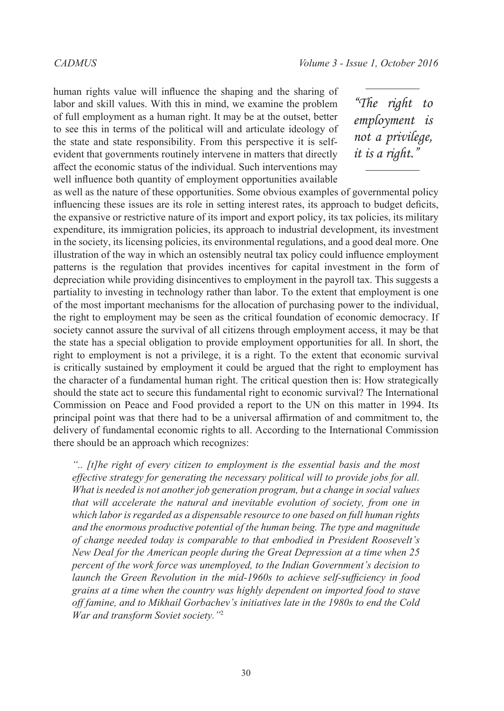human rights value will influence the shaping and the sharing of labor and skill values. With this in mind, we examine the problem of full employment as a human right. It may be at the outset, better to see this in terms of the political will and articulate ideology of the state and state responsibility. From this perspective it is selfevident that governments routinely intervene in matters that directly affect the economic status of the individual. Such interventions may well influence both quantity of employment opportunities available

*"The right to employment is not a privilege, it is a right."*

as well as the nature of these opportunities. Some obvious examples of governmental policy influencing these issues are its role in setting interest rates, its approach to budget deficits, the expansive or restrictive nature of its import and export policy, its tax policies, its military expenditure, its immigration policies, its approach to industrial development, its investment in the society, its licensing policies, its environmental regulations, and a good deal more. One illustration of the way in which an ostensibly neutral tax policy could influence employment patterns is the regulation that provides incentives for capital investment in the form of depreciation while providing disincentives to employment in the payroll tax. This suggests a partiality to investing in technology rather than labor. To the extent that employment is one of the most important mechanisms for the allocation of purchasing power to the individual, the right to employment may be seen as the critical foundation of economic democracy. If society cannot assure the survival of all citizens through employment access, it may be that the state has a special obligation to provide employment opportunities for all. In short, the right to employment is not a privilege, it is a right. To the extent that economic survival is critically sustained by employment it could be argued that the right to employment has the character of a fundamental human right. The critical question then is: How strategically should the state act to secure this fundamental right to economic survival? The International Commission on Peace and Food provided a report to the UN on this matter in 1994. Its principal point was that there had to be a universal affirmation of and commitment to, the delivery of fundamental economic rights to all. According to the International Commission there should be an approach which recognizes:

*".. [t]he right of every citizen to employment is the essential basis and the most effective strategy for generating the necessary political will to provide jobs for all. What is needed is not another job generation program, but a change in social values that will accelerate the natural and inevitable evolution of society, from one in which labor is regarded as a dispensable resource to one based on full human rights and the enormous productive potential of the human being. The type and magnitude of change needed today is comparable to that embodied in President Roosevelt's New Deal for the American people during the Great Depression at a time when 25 percent of the work force was unemployed, to the Indian Government's decision to launch the Green Revolution in the mid-1960s to achieve self-sufficiency in food grains at a time when the country was highly dependent on imported food to stave off famine, and to Mikhail Gorbachev's initiatives late in the 1980s to end the Cold War and transform Soviet society."*[2](#page-8-1)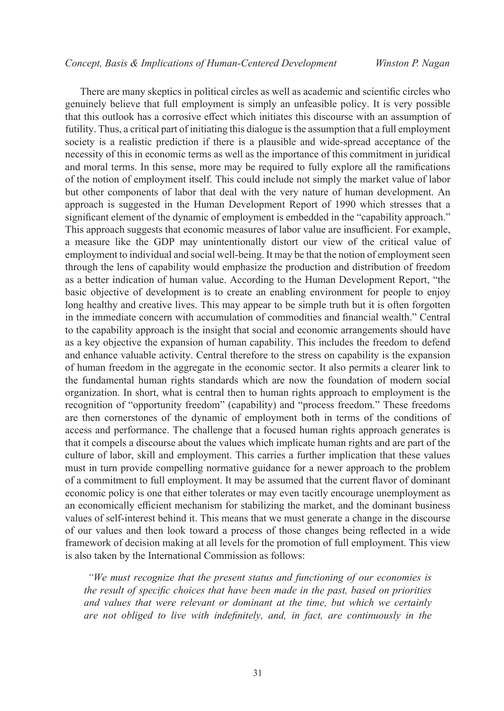There are many skeptics in political circles as well as academic and scientific circles who genuinely believe that full employment is simply an unfeasible policy. It is very possible that this outlook has a corrosive effect which initiates this discourse with an assumption of futility. Thus, a critical part of initiating this dialogue is the assumption that a full employment society is a realistic prediction if there is a plausible and wide-spread acceptance of the necessity of this in economic terms as well as the importance of this commitment in juridical and moral terms. In this sense, more may be required to fully explore all the ramifications of the notion of employment itself. This could include not simply the market value of labor but other components of labor that deal with the very nature of human development. An approach is suggested in the Human Development Report of 1990 which stresses that a significant element of the dynamic of employment is embedded in the "capability approach." This approach suggests that economic measures of labor value are insufficient. For example, a measure like the GDP may unintentionally distort our view of the critical value of employment to individual and social well-being. It may be that the notion of employment seen through the lens of capability would emphasize the production and distribution of freedom as a better indication of human value. According to the Human Development Report, "the basic objective of development is to create an enabling environment for people to enjoy long healthy and creative lives. This may appear to be simple truth but it is often forgotten in the immediate concern with accumulation of commodities and financial wealth." Central to the capability approach is the insight that social and economic arrangements should have as a key objective the expansion of human capability. This includes the freedom to defend and enhance valuable activity. Central therefore to the stress on capability is the expansion of human freedom in the aggregate in the economic sector. It also permits a clearer link to the fundamental human rights standards which are now the foundation of modern social organization. In short, what is central then to human rights approach to employment is the recognition of "opportunity freedom" (capability) and "process freedom." These freedoms are then cornerstones of the dynamic of employment both in terms of the conditions of access and performance. The challenge that a focused human rights approach generates is that it compels a discourse about the values which implicate human rights and are part of the culture of labor, skill and employment. This carries a further implication that these values must in turn provide compelling normative guidance for a newer approach to the problem of a commitment to full employment. It may be assumed that the current flavor of dominant economic policy is one that either tolerates or may even tacitly encourage unemployment as an economically efficient mechanism for stabilizing the market, and the dominant business values of self-interest behind it. This means that we must generate a change in the discourse of our values and then look toward a process of those changes being reflected in a wide framework of decision making at all levels for the promotion of full employment. This view is also taken by the International Commission as follows:

 *"We must recognize that the present status and functioning of our economies is the result of specific choices that have been made in the past, based on priorities and values that were relevant or dominant at the time, but which we certainly are not obliged to live with indefinitely, and, in fact, are continuously in the*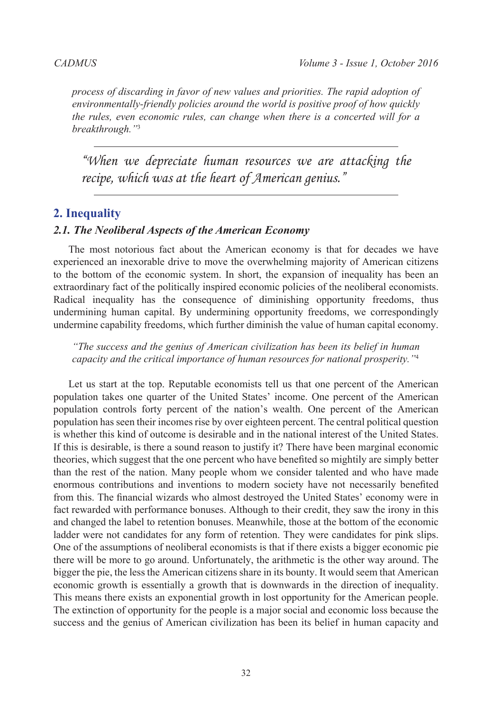*process of discarding in favor of new values and priorities. The rapid adoption of environmentally-friendly policies around the world is positive proof of how quickly the rules, even economic rules, can change when there is a concerted will for a breakthrough."*[3](#page-8-2)

*"When we depreciate human resources we are attacking the recipe, which was at the heart of American genius."*

### **2. Inequality**

#### *2.1. The Neoliberal Aspects of the American Economy*

The most notorious fact about the American economy is that for decades we have experienced an inexorable drive to move the overwhelming majority of American citizens to the bottom of the economic system. In short, the expansion of inequality has been an extraordinary fact of the politically inspired economic policies of the neoliberal economists. Radical inequality has the consequence of diminishing opportunity freedoms, thus undermining human capital. By undermining opportunity freedoms, we correspondingly undermine capability freedoms, which further diminish the value of human capital economy.

*"The success and the genius of American civilization has been its belief in human capacity and the critical importance of human resources for national prosperity."*[4](#page-8-3)

Let us start at the top. Reputable economists tell us that one percent of the American population takes one quarter of the United States' income. One percent of the American population controls forty percent of the nation's wealth. One percent of the American population has seen their incomes rise by over eighteen percent. The central political question is whether this kind of outcome is desirable and in the national interest of the United States. If this is desirable, is there a sound reason to justify it? There have been marginal economic theories, which suggest that the one percent who have benefited so mightily are simply better than the rest of the nation. Many people whom we consider talented and who have made enormous contributions and inventions to modern society have not necessarily benefited from this. The financial wizards who almost destroyed the United States' economy were in fact rewarded with performance bonuses. Although to their credit, they saw the irony in this and changed the label to retention bonuses. Meanwhile, those at the bottom of the economic ladder were not candidates for any form of retention. They were candidates for pink slips. One of the assumptions of neoliberal economists is that if there exists a bigger economic pie there will be more to go around. Unfortunately, the arithmetic is the other way around. The bigger the pie, the less the American citizens share in its bounty. It would seem that American economic growth is essentially a growth that is downwards in the direction of inequality. This means there exists an exponential growth in lost opportunity for the American people. The extinction of opportunity for the people is a major social and economic loss because the success and the genius of American civilization has been its belief in human capacity and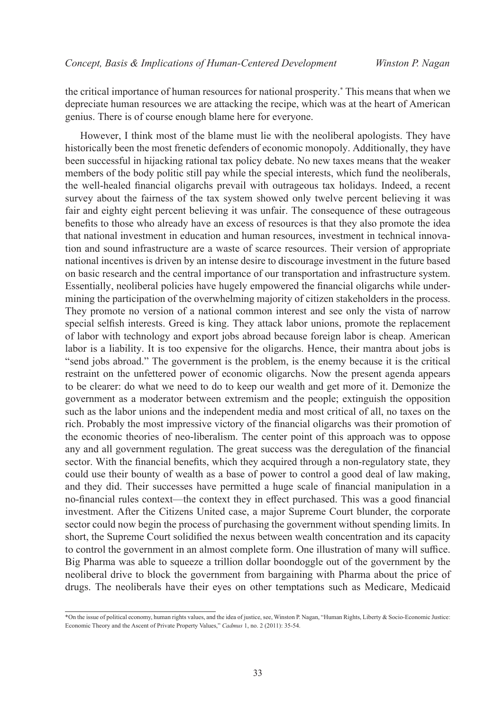the critical importance of human resources for national prosperity.\* This means that when we depreciate human resources we are attacking the recipe, which was at the heart of American genius. There is of course enough blame here for everyone.

However, I think most of the blame must lie with the neoliberal apologists. They have historically been the most frenetic defenders of economic monopoly. Additionally, they have been successful in hijacking rational tax policy debate. No new taxes means that the weaker members of the body politic still pay while the special interests, which fund the neoliberals, the well-healed financial oligarchs prevail with outrageous tax holidays. Indeed, a recent survey about the fairness of the tax system showed only twelve percent believing it was fair and eighty eight percent believing it was unfair. The consequence of these outrageous benefits to those who already have an excess of resources is that they also promote the idea that national investment in education and human resources, investment in technical innovation and sound infrastructure are a waste of scarce resources. Their version of appropriate national incentives is driven by an intense desire to discourage investment in the future based on basic research and the central importance of our transportation and infrastructure system. Essentially, neoliberal policies have hugely empowered the financial oligarchs while undermining the participation of the overwhelming majority of citizen stakeholders in the process. They promote no version of a national common interest and see only the vista of narrow special selfish interests. Greed is king. They attack labor unions, promote the replacement of labor with technology and export jobs abroad because foreign labor is cheap. American labor is a liability. It is too expensive for the oligarchs. Hence, their mantra about jobs is "send jobs abroad." The government is the problem, is the enemy because it is the critical restraint on the unfettered power of economic oligarchs. Now the present agenda appears to be clearer: do what we need to do to keep our wealth and get more of it. Demonize the government as a moderator between extremism and the people; extinguish the opposition such as the labor unions and the independent media and most critical of all, no taxes on the rich. Probably the most impressive victory of the financial oligarchs was their promotion of the economic theories of neo-liberalism. The center point of this approach was to oppose any and all government regulation. The great success was the deregulation of the financial sector. With the financial benefits, which they acquired through a non-regulatory state, they could use their bounty of wealth as a base of power to control a good deal of law making, and they did. Their successes have permitted a huge scale of financial manipulation in a no-financial rules context—the context they in effect purchased. This was a good financial investment. After the Citizens United case, a major Supreme Court blunder, the corporate sector could now begin the process of purchasing the government without spending limits. In short, the Supreme Court solidified the nexus between wealth concentration and its capacity to control the government in an almost complete form. One illustration of many will suffice. Big Pharma was able to squeeze a trillion dollar boondoggle out of the government by the neoliberal drive to block the government from bargaining with Pharma about the price of drugs. The neoliberals have their eyes on other temptations such as Medicare, Medicaid

<sup>\*</sup>On the issue of political economy, human rights values, and the idea of justice, see, Winston P. Nagan, "Human Rights, Liberty & Socio-Economic Justice: Economic Theory and the Ascent of Private Property Values," *Cadmus* 1, no. 2 (2011): 35-54.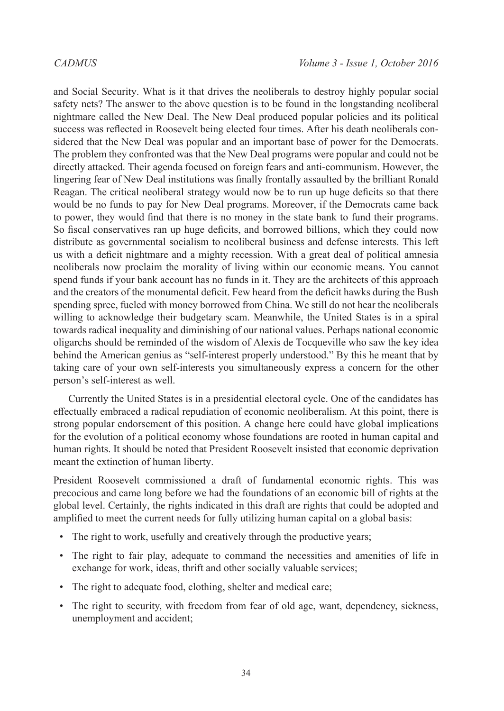and Social Security. What is it that drives the neoliberals to destroy highly popular social safety nets? The answer to the above question is to be found in the longstanding neoliberal nightmare called the New Deal. The New Deal produced popular policies and its political success was reflected in Roosevelt being elected four times. After his death neoliberals considered that the New Deal was popular and an important base of power for the Democrats. The problem they confronted was that the New Deal programs were popular and could not be directly attacked. Their agenda focused on foreign fears and anti-communism. However, the lingering fear of New Deal institutions was finally frontally assaulted by the brilliant Ronald Reagan. The critical neoliberal strategy would now be to run up huge deficits so that there would be no funds to pay for New Deal programs. Moreover, if the Democrats came back to power, they would find that there is no money in the state bank to fund their programs. So fiscal conservatives ran up huge deficits, and borrowed billions, which they could now distribute as governmental socialism to neoliberal business and defense interests. This left us with a deficit nightmare and a mighty recession. With a great deal of political amnesia neoliberals now proclaim the morality of living within our economic means. You cannot spend funds if your bank account has no funds in it. They are the architects of this approach and the creators of the monumental deficit. Few heard from the deficit hawks during the Bush spending spree, fueled with money borrowed from China. We still do not hear the neoliberals willing to acknowledge their budgetary scam. Meanwhile, the United States is in a spiral towards radical inequality and diminishing of our national values. Perhaps national economic oligarchs should be reminded of the wisdom of Alexis de Tocqueville who saw the key idea behind the American genius as "self-interest properly understood." By this he meant that by taking care of your own self-interests you simultaneously express a concern for the other person's self-interest as well.

Currently the United States is in a presidential electoral cycle. One of the candidates has effectually embraced a radical repudiation of economic neoliberalism. At this point, there is strong popular endorsement of this position. A change here could have global implications for the evolution of a political economy whose foundations are rooted in human capital and human rights. It should be noted that President Roosevelt insisted that economic deprivation meant the extinction of human liberty.

President Roosevelt commissioned a draft of fundamental economic rights. This was precocious and came long before we had the foundations of an economic bill of rights at the global level. Certainly, the rights indicated in this draft are rights that could be adopted and amplified to meet the current needs for fully utilizing human capital on a global basis:

- The right to work, usefully and creatively through the productive years;
- The right to fair play, adequate to command the necessities and amenities of life in exchange for work, ideas, thrift and other socially valuable services;
- The right to adequate food, clothing, shelter and medical care;
- The right to security, with freedom from fear of old age, want, dependency, sickness, unemployment and accident;